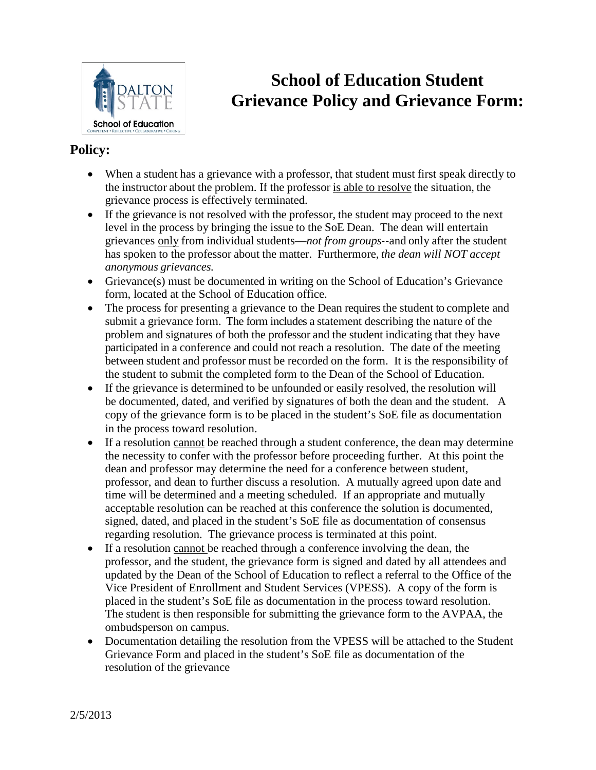

## **School of Education Student Grievance Policy and Grievance Form:**

### **Policy:**

- When a student has a grievance with a professor, that student must first speak directly to the instructor about the problem. If the professor is able to resolve the situation, the grievance process is effectively terminated.
- If the grievance is not resolved with the professor, the student may proceed to the next level in the process by bringing the issue to the SoE Dean. The dean will entertain grievances only from individual students—*not from groups*‐‐and only after the student has spoken to the professor about the matter. Furthermore, *the dean will NOT accept anonymous grievances.*
- Grievance(s) must be documented in writing on the School of Education's Grievance form, located at the School of Education office.
- The process for presenting a grievance to the Dean requires the student to complete and submit a grievance form. The form includes a statement describing the nature of the problem and signatures of both the professor and the student indicating that they have participated in a conference and could not reach a resolution. The date of the meeting between student and professor must be recorded on the form. It is the responsibility of the student to submit the completed form to the Dean of the School of Education.
- If the grievance is determined to be unfounded or easily resolved, the resolution will be documented, dated, and verified by signatures of both the dean and the student. A copy of the grievance form is to be placed in the student's SoE file as documentation in the process toward resolution.
- If a resolution cannot be reached through a student conference, the dean may determine the necessity to confer with the professor before proceeding further. At this point the dean and professor may determine the need for a conference between student, professor, and dean to further discuss a resolution. A mutually agreed upon date and time will be determined and a meeting scheduled. If an appropriate and mutually acceptable resolution can be reached at this conference the solution is documented, signed, dated, and placed in the student's SoE file as documentation of consensus regarding resolution. The grievance process is terminated at this point.
- If a resolution cannot be reached through a conference involving the dean, the professor, and the student, the grievance form is signed and dated by all attendees and updated by the Dean of the School of Education to reflect a referral to the Office of the Vice President of Enrollment and Student Services (VPESS). A copy of the form is placed in the student's SoE file as documentation in the process toward resolution. The student is then responsible for submitting the grievance form to the AVPAA, the ombudsperson on campus.
- Documentation detailing the resolution from the VPESS will be attached to the Student Grievance Form and placed in the student's SoE file as documentation of the resolution of the grievance